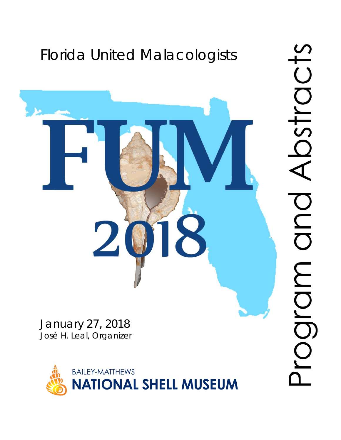# Florida United Malacologists

January 27, 2018 José H. Leal, Organizer



 $\overline{0}$ DSTIC OND MDJQO.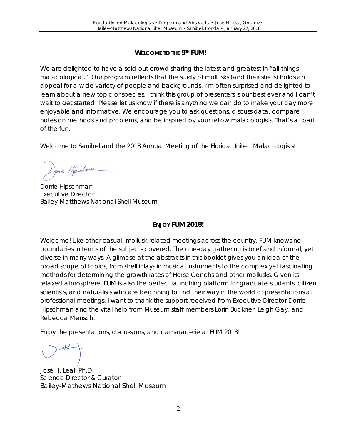#### **WELCOME TO THE 9TH FUM!**

We are delighted to have a sold-out crowd sharing the latest and greatest in "all-things" malacological." Our program reflects that the study of mollusks (and their shells) holds an appeal for a wide variety of people and backgrounds. I'm often surprised and delighted to learn about a new topic or species. I think this group of presenters is our best ever and I can't wait to get started! Please let us know if there is anything we can do to make your day more enjoyable and informative. We encourage you to ask questions, discuss data, compare notes on methods and problems, and be inspired by your fellow malacologists. That's all part of the fun.

Welcome to Sanibel and the 2018 Annual Meeting of the Florida United Malacologists!

Jonie Hipschma

Dorrie Hipschman Executive Director Bailey-Matthews National Shell Museum

# **ENJOY FUM 2018!**

Welcome! Like other casual, mollusk-related meetings across the country, FUM knows no boundaries in terms of the subjects covered. The one-day gathering is brief and informal, yet diverse in many ways. A glimpse at the abstracts in this booklet gives you an idea of the broad scope of topics, from shell inlays in musical instruments to the complex yet fascinating methods for determining the growth rates of Horse Conchs and other mollusks. Given its relaxed atmosphere, FUM is also the perfect launching platform for graduate students, citizen scientists, and naturalists who are beginning to find their way in the world of presentations at professional meetings. I want to thank the support received from Executive Director Dorrie Hipschman and the vital help from Museum staff members Lorin Buckner, Leigh Gay, and Rebecca Mensch.

Enjoy the presentations, discussions, and camaraderie at FUM 2018!

José H. Leal, Ph.D. Science Director & Curator Bailey-Mathews National Shell Museum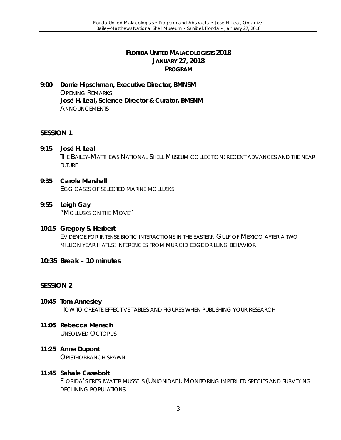#### **FLORIDA UNITED MALACOLOGISTS 2018 JANUARY 27, 2018 PROGRAM**

**9:00 Dorrie Hipschman, Executive Director, BMNSM** OPENING REMARKS **José H. Leal, Science Director & Curator, BMSNM ANNOUNCEMENTS** 

#### **SESSION 1**

- **9:15 José H. Leal** THE BAILEY-MATTHEWS NATIONAL SHELL MUSEUM COLLECTION: RECENT ADVANCES AND THE NEAR FUTURE
- **9:35 Carole Marshall** EGG CASES OF SELECTED MARINE MOLLUSKS
- **9:55 Leigh Gay** "MOLLUSKS ON THE MOVE"
- **10:15 Gregory S. Herbert** EVIDENCE FOR INTENSE BIOTIC INTERACTIONS IN THE EASTERN GULF OF MEXICO AFTER A TWO MILLION YEAR HIATUS: INFERENCES FROM MURICID EDGE DRILLING BEHAVIOR
- **10:35 Break – 10 minutes**

#### **SESSION 2**

- **10:45 Tom Annesley** HOW TO CREATE EFFECTIVE TABLES AND FIGURES WHEN PUBLISHING YOUR RESEARCH
- **11:05 Rebecca Mensch** UNSOLVED *OCTOPUS*
- **11:25 Anne Dupont** OPISTHOBRANCH SPAWN
- **11:45 Sahale Casebolt**

FLORIDA'S FRESHWATER MUSSELS (UNIONIDAE): MONITORING IMPERILED SPECIES AND SURVEYING DECLINING POPULATIONS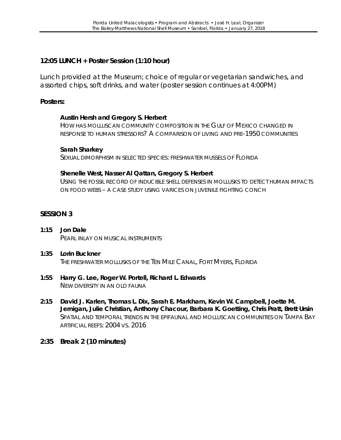# **12:05 LUNCH + Poster Session (1:10 hour)**

Lunch provided at the Museum; choice of regular or vegetarian sandwiches, and assorted chips, soft drinks, and water (poster session continues at 4:00PM)

#### **Posters:**

#### **Austin Hersh and Gregory S. Herbert**

HOW HAS MOLLUSCAN COMMUNITY COMPOSITION IN THE GULF OF MEXICO CHANGED IN RESPONSE TO HUMAN STRESSORS? A COMPARISON OF LIVING AND PRE-1950 COMMUNITIES

#### **Sarah Sharkey**

SEXUAL DIMORPHISM IN SELECTED SPECIES: FRESHWATER MUSSELS OF FLORIDA

#### **Shenelle West, Nasser Al Qattan, Gregory S. Herbert**

USING THE FOSSIL RECORD OF INDUCIBLE SHELL DEFENSES IN MOLLUSKS TO DETECT HUMAN IMPACTS ON FOOD WEBS – A CASE STUDY USING VARICES ON JUVENILE FIGHTING CONCH

#### **SESSION 3**

- **1:15 Jon Dale** PEARL INLAY ON MUSICAL INSTRUMENTS
- **1:35 Lorin Buckner** THE FRESHWATER MOLLUSKS OF THE TEN MILE CANAL, FORT MYERS, FLORIDA
- **1:55 Harry G. Lee, Roger W. Portell, Richard L. Edwards** NEW DIVERSITY IN AN OLD FAUNA
- **2:15 David J. Karlen, Thomas L. Dix, Sarah E. Markham, Kevin W. Campbell, Joette M. Jernigan, Julie Christian, Anthony Chacour, Barbara K. Goetting, Chris Pratt, Brett Ursin** SPATIAL AND TEMPORAL TRENDS IN THE EPIFAUNAL AND MOLLUSCAN COMMUNITIES ON TAMPA BAY ARTIFICIAL REEFS: 2004 VS. 2016
- **2:35 Break 2 (10 minutes)**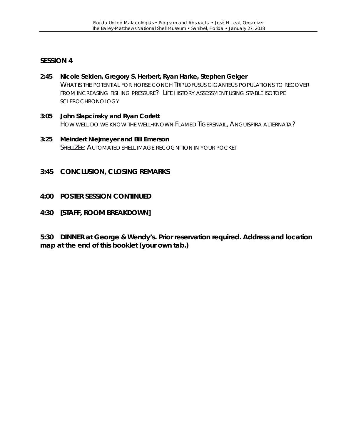#### **SESSION 4**

- **2:45 Nicole Seiden, Gregory S. Herbert, Ryan Harke, Stephen Geiger** WHAT IS THE POTENTIAL FOR HORSE CONCH *TRIPLOFUSUS GIGANTEUS* POPULATIONS TO RECOVER FROM INCREASING FISHING PRESSURE? LIFE HISTORY ASSESSMENT USING STABLE ISOTOPE **SCLEROCHRONOLOGY**
- **3:05 John Slapcinsky and Ryan Corlett** HOW WELL DO WE KNOW THE WELL-KNOWN FLAMED TIGERSNAIL, *ANGUISPIRA ALTERNATA*?
- **3:25 Meindert Niejmeyer and Bill Emerson** SHELLZEE: AUTOMATED SHELL IMAGE RECOGNITION IN YOUR POCKET
- **3:45 CONCLUSION, CLOSING REMARKS**
- **4:00 POSTER SESSION CONTINUED**
- **4:30 [STAFF, ROOM BREAKDOWN]**

**5:30 DINNER at George & Wendy's. Prior reservation required. Address and location map at the end of this booklet (your own tab.)**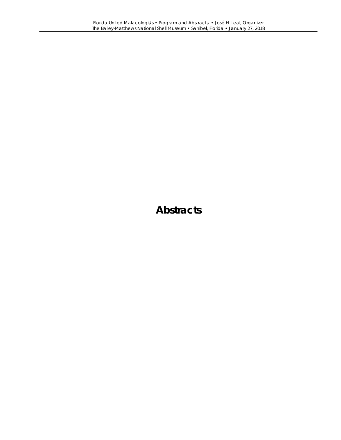# **Abstracts**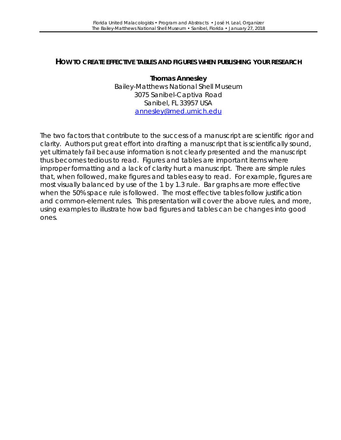#### **HOW TO CREATE EFFECTIVE TABLES AND FIGURES WHEN PUBLISHING YOUR RESEARCH**

**Thomas Annesley** Bailey-Matthews National Shell Museum 3075 Sanibel-Captiva Road Sanibel, FL 33957 USA [annesley@med.umich.edu](mailto:annesley@med.umich.edu)

The two factors that contribute to the success of a manuscript are scientific rigor and clarity. Authors put great effort into drafting a manuscript that is scientifically sound, yet ultimately fail because information is not clearly presented and the manuscript thus becomes tedious to read. Figures and tables are important items where improper formatting and a lack of clarity hurt a manuscript. There are simple rules that, when followed, make figures and tables easy to read. For example, figures are most visually balanced by use of the 1 by 1.3 rule. Bar graphs are more effective when the 50% space rule is followed. The most effective tables follow justification and common-element rules. This presentation will cover the above rules, and more, using examples to illustrate how bad figures and tables can be changes into good ones.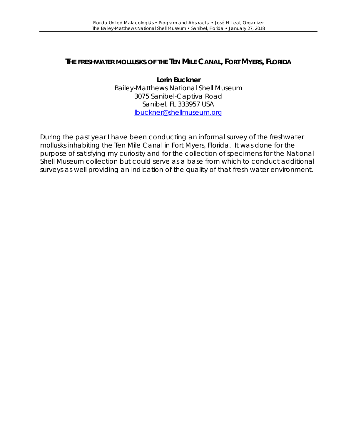# **THE FRESHWATER MOLLUSKS OF THE TEN MILE CANAL, FORT MYERS, FLORIDA**

**Lorin Buckner** Bailey-Matthews National Shell Museum 3075 Sanibel-Captiva Road Sanibel, FL 333957 USA [lbuckner@shellmuseum.org](mailto:lbuckner@shellmuseum.org)

During the past year I have been conducting an informal survey of the freshwater mollusks inhabiting the Ten Mile Canal in Fort Myers, Florida. It was done for the purpose of satisfying my curiosity and for the collection of specimens for the National Shell Museum collection but could serve as a base from which to conduct additional surveys as well providing an indication of the quality of that fresh water environment.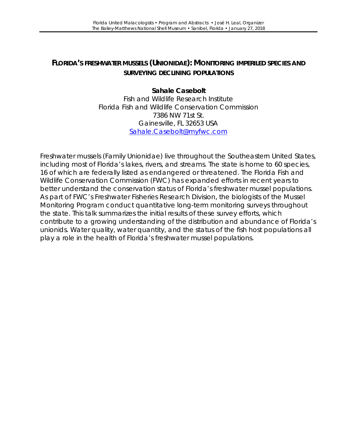# **FLORIDA'S FRESHWATER MUSSELS (UNIONIDAE): MONITORING IMPERILED SPECIES AND SURVEYING DECLINING POPULATIONS**

#### **Sahale Casebolt** Fish and Wildlife Research Institute Florida Fish and Wildlife Conservation Commission 7386 NW 71st St. Gainesville, FL 32653 USA [Sahale.Casebolt@myfwc.com](mailto:Sahale.Casebolt@myfwc.com)

Freshwater mussels (Family Unionidae) live throughout the Southeastern United States, including most of Florida's lakes, rivers, and streams. The state is home to 60 species, 16 of which are federally listed as endangered or threatened. The Florida Fish and Wildlife Conservation Commission (FWC) has expanded efforts in recent years to better understand the conservation status of Florida's freshwater mussel populations. As part of FWC's Freshwater Fisheries Research Division, the biologists of the Mussel Monitoring Program conduct quantitative long-term monitoring surveys throughout the state. This talk summarizes the initial results of these survey efforts, which contribute to a growing understanding of the distribution and abundance of Florida's unionids. Water quality, water quantity, and the status of the fish host populations all play a role in the health of Florida's freshwater mussel populations.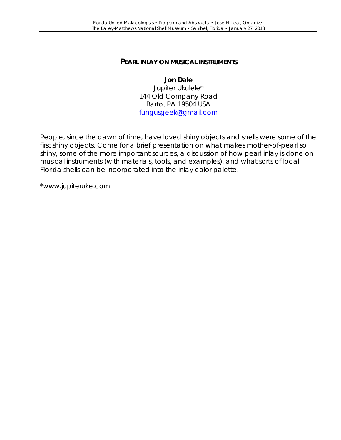#### **PEARL INLAY ON MUSICAL INSTRUMENTS**

**Jon Dale** Jupiter Ukulele\* 144 Old Company Road Barto, PA 19504 USA [fungusgeek@gmail.com](mailto:fungusgeek@gmail.com)

People, since the dawn of time, have loved shiny objects and shells were some of the first shiny objects. Come for a brief presentation on what makes mother-of-pearl so shiny, some of the more important sources, a discussion of how pearl inlay is done on musical instruments (with materials, tools, and examples), and what sorts of local Florida shells can be incorporated into the inlay color palette.

[\\*www.jupiteruke.com](http://www.jupiteruke.com/)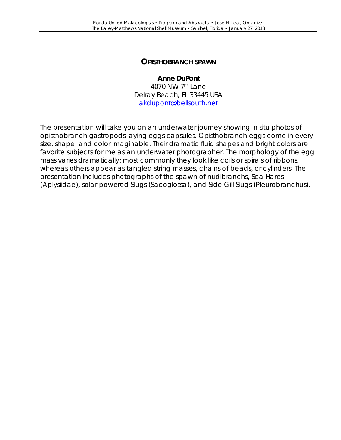#### **OPISTHOBRANCH SPAWN**

**Anne DuPont** 4070 NW 7th Lane Delray Beach, FL 33445 USA [akdupont@bellsouth.net](mailto:akdupont@bellsouth.net)

The presentation will take you on an underwater journey showing *in situ* photos of opisthobranch gastropods laying eggs capsules. Opisthobranch eggs come in every size, shape, and color imaginable. Their dramatic fluid shapes and bright colors are favorite subjects for me as an underwater photographer. The morphology of the egg mass varies dramatically; most commonly they look like coils or spirals of ribbons, whereas others appear as tangled string masses, chains of beads, or cylinders. The presentation includes photographs of the spawn of nudibranchs, Sea Hares (Aplysiidae), solar-powered Slugs (Sacoglossa), and Side Gill Slugs (Pleurobranchus).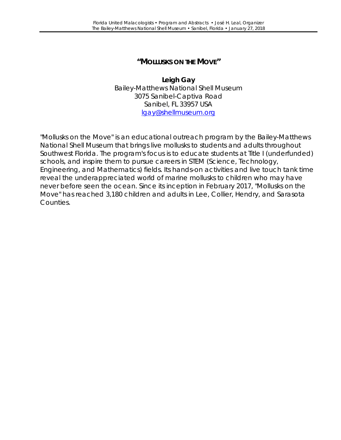# **"MOLLUSKS ON THE MOVE"**

**Leigh Gay** Bailey-Matthews National Shell Museum 3075 Sanibel-Captiva Road Sanibel, FL 33957 USA [lgay@shellmuseum.org](mailto:lgay@shellmuseum.org)

"Mollusks on the Move" is an educational outreach program by the Bailey-Matthews National Shell Museum that brings live mollusks to students and adults throughout Southwest Florida. The program's focus is to educate students at Title I (underfunded) schools, and inspire them to pursue careers in STEM (Science, Technology, Engineering, and Mathematics) fields. Its hands-on activities and live touch tank time reveal the underappreciated world of marine mollusks to children who may have never before seen the ocean. Since its inception in February 2017, "Mollusks on the Move" has reached 3,180 children and adults in Lee, Collier, Hendry, and Sarasota Counties.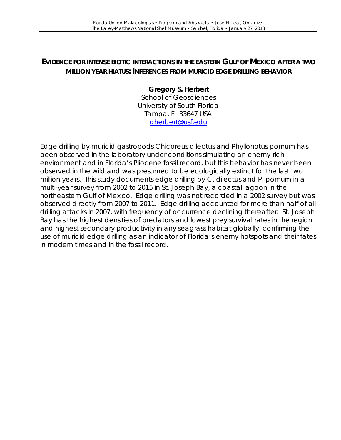# **EVIDENCE FOR INTENSE BIOTIC INTERACTIONS IN THE EASTERN GULF OF MEXICO AFTER A TWO MILLION YEAR HIATUS: INFERENCES FROM MURICID EDGE DRILLING BEHAVIOR**

# **Gregory S. Herbert**

School of Geosciences University of South Florida Tampa, FL 33647 USA [gherbert@usf.edu](mailto:gherbert@usf.edu)

Edge drilling by muricid gastropods *Chicoreus dilectus* and *Phyllonotus pomum* has been observed in the laboratory under conditions simulating an enemy-rich environment and in Florida's Pliocene fossil record, but this behavior has never been observed in the wild and was presumed to be ecologically extinct for the last two million years. This study documents edge drilling by *C. dilectus* and *P. pomum* in a multi-year survey from 2002 to 2015 in St. Joseph Bay, a coastal lagoon in the northeastern Gulf of Mexico. Edge drilling was not recorded in a 2002 survey but was observed directly from 2007 to 2011. Edge drilling accounted for more than half of all drilling attacks in 2007, with frequency of occurrence declining thereafter. St. Joseph Bay has the highest densities of predators and lowest prey survival rates in the region and highest secondary productivity in any seagrass habitat globally, confirming the use of muricid edge drilling as an indicator of Florida's enemy hotspots and their fates in modern times and in the fossil record.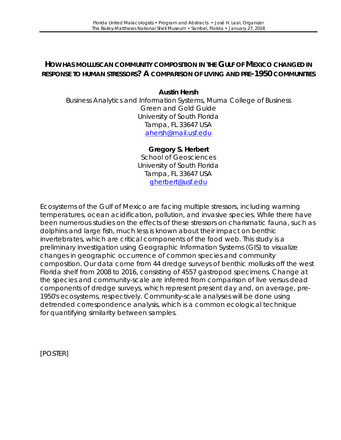# **HOW HAS MOLLUSCAN COMMUNITY COMPOSITION IN THE GULF OF MEXICO CHANGED IN RESPONSE TO HUMAN STRESSORS? A COMPARISON OF LIVING AND PRE-1950 COMMUNITIES**

#### **Austin Hersh**

Business Analytics and Information Systems, Muma College of Business Green and Gold Guide University of South Florida Tampa, FL 33647 USA [ahersh@mail.usf.edu](mailto:ahersh@mail.usf.edu)

#### **Gregory S. Herbert**

School of Geosciences University of South Florida Tampa, FL 33647 USA [gherbert@usf.edu](mailto:gherbert@usf.edu)

Ecosystems of the Gulf of Mexico are facing multiple stressors, including warming temperatures, ocean acidification, pollution, and invasive species. While there have been numerous studies on the effects of these stressors on charismatic fauna, such as dolphins and large fish, much less is known about their impact on benthic invertebrates, which are critical components of the food web. This study is a preliminary investigation using Geographic Information Systems (GIS) to visualize changes in geographic occurrence of common species and community composition. Our data come from 44 dredge surveys of benthic mollusks off the west Florida shelf from 2008 to 2016, consisting of 4557 gastropod specimens. Change at the species and community-scale are inferred from comparison of live versus dead components of dredge surveys, which represent present day and, on average, pre-1950's ecosystems, respectively. Community-scale analyses will be done using detrended correspondence analysis, which is a common ecological technique for quantifying similarity between samples.

[POSTER]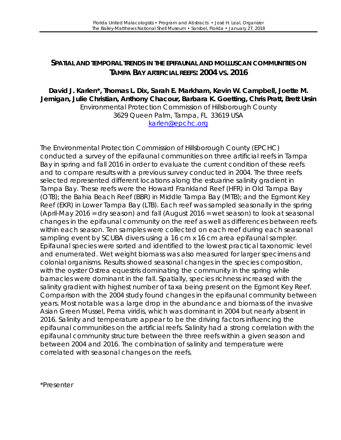## **SPATIAL AND TEMPORAL TRENDS IN THE EPIFAUNAL AND MOLLUSCAN COMMUNITIES ON TAMPA BAY ARTIFICIAL REEFS: 2004 VS. 2016**

#### **David J. Karlen\*, Thomas L. Dix, Sarah E. Markham, Kevin W. Campbell, Joette M. Jernigan, Julie Christian, Anthony Chacour, Barbara K. Goetting, Chris Pratt, Brett Ursin** Environmental Protection Commission of Hillsborough County 3629 Queen Palm, Tampa, FL 33619 USA [karlen@epchc.org](mailto:karlen@epchc.org)

The Environmental Protection Commission of Hillsborough County (EPCHC) conducted a survey of the epifaunal communities on three artificial reefs in Tampa Bay in spring and fall 2016 in order to evaluate the current condition of these reefs and to compare results with a previous survey conducted in 2004. The three reefs selected represented different locations along the estuarine salinity gradient in Tampa Bay. These reefs were the Howard Frankland Reef (HFR) in Old Tampa Bay (OTB); the Bahia Beach Reef (BBR) in Middle Tampa Bay (MTB); and the Egmont Key Reef (EKR) in Lower Tampa Bay (LTB). Each reef was sampled seasonally in the spring (April-May 2016 = dry season) and fall (August 2016 = wet season) to look at seasonal changes in the epifaunal community on the reef as well as differences between reefs within each season. Ten samples were collected on each reef during each seasonal sampling event by SCUBA divers using a 16 cm x 16 cm area epifaunal sampler. Epifaunal species were sorted and identified to the lowest practical taxonomic level and enumerated. Wet weight biomass was also measured for larger specimens and colonial organisms. Results showed seasonal changes in the species composition, with the oyster *Ostrea equestris* dominating the community in the spring while barnacles were dominant in the fall. Spatially, species richness increased with the salinity gradient with highest number of taxa being present on the Egmont Key Reef. Comparison with the 2004 study found changes in the epifaunal community between years. Most notable was a large drop in the abundance and biomass of the invasive Asian Green Mussel, *Perna viridis*, which was dominant in 2004 but nearly absent in 2016. Salinity and temperature appear to be the driving factors influencing the epifaunal communities on the artificial reefs. Salinity had a strong correlation with the epifaunal community structure between the three reefs within a given season and between 2004 and 2016. The combination of salinity and temperature were correlated with seasonal changes on the reefs.

\*Presenter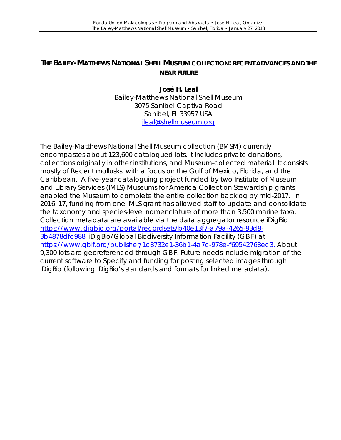# **THE BAILEY-MATTHEWS NATIONAL SHELL MUSEUM COLLECTION: RECENT ADVANCES AND THE NEAR FUTURE**

**José H. Leal** Bailey-Matthews National Shell Museum 3075 Sanibel-Captiva Road Sanibel, FL 33957 USA [jleal@shellmuseum.org](mailto:jleal@shellmuseum.org)

The Bailey-Matthews National Shell Museum collection (BMSM) currently encompasses about 123,600 catalogued lots. It includes private donations, collections originally in other institutions, and Museum-collected material. It consists mostly of Recent mollusks, with a focus on the Gulf of Mexico, Florida, and the Caribbean. A five-year cataloguing project funded by two Institute of Museum and Library Services (IMLS) Museums for America Collection Stewardship grants enabled the Museum to complete the entire collection backlog by mid-2017. In 2016–17, funding from one IMLS grant has allowed staff to update and consolidate the taxonomy and species-level nomenclature of more than 3,500 marine taxa. Collection metadata are available via the data aggregator resource iDigBio [https://www.idigbio.org/portal/recordsets/b40e13f7-a79a-4265-93d9-](https://www.idigbio.org/portal/recordsets/b40e13f7-a79a-4265-93d9-3b4878dfc988) [3b4878dfc988](https://www.idigbio.org/portal/recordsets/b40e13f7-a79a-4265-93d9-3b4878dfc988) iDigBio/Global Biodiversity Information Facility (GBIF) at [https://www.gbif.org/publisher/1c8732e1-36b1-4a7c-978e-f69542768ec3.](https://www.gbif.org/publisher/1c8732e1-36b1-4a7c-978e-f69542768ec3) About 9,300 lots are georeferenced through GBIF. Future needs include migration of the current software to Specify and funding for posting selected images through iDigBio (following iDigBio's standards and formats for linked metadata).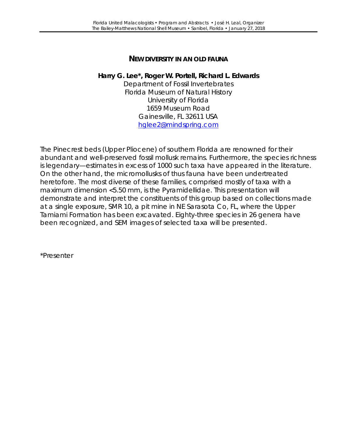# **NEW DIVERSITY IN AN OLD FAUNA**

#### **Harry G. Lee\*, Roger W. Portell, Richard L. Edwards**

Department of Fossil Invertebrates Florida Museum of Natural History University of Florida 1659 Museum Road Gainesville, FL 32611 USA [hglee2@mindspring.com](mailto:hglee2@mindspring.com)

The Pinecrest beds (Upper Pliocene) of southern Florida are renowned for their abundant and well-preserved fossil mollusk remains. Furthermore, the species richness is legendary—estimates in excess of 1000 such taxa have appeared in the literature. On the other hand, the micromollusks of thus fauna have been undertreated heretofore. The most diverse of these families, comprised mostly of taxa with a maximum dimension <5.50 mm, is the Pyramidellidae. This presentation will demonstrate and interpret the constituents of this group based on collections made at a single exposure, SMR 10, a pit mine in NE Sarasota Co, FL, where the Upper Tamiami Formation has been excavated. Eighty-three species in 26 genera have been recognized, and SEM images of selected taxa will be presented.

\*Presenter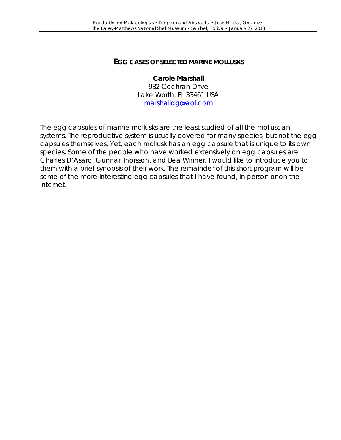#### **EGG CASES OF SELECTED MARINE MOLLUSKS**

#### **Carole Marshall** 932 Cochran Drive Lake Worth, FL 33461 USA [marshalldg@aol.com](mailto:marshalldg@aol.com)

The egg capsules of marine mollusks are the least studied of all the molluscan systems. The reproductive system is usually covered for many species, but not the egg capsules themselves. Yet, each mollusk has an egg capsule that is unique to its own species. Some of the people who have worked extensively on egg capsules are Charles D'Asaro, Gunnar Thorsson, and Bea Winner. I would like to introduce you to them with a brief synopsis of their work. The remainder of this short program will be some of the more interesting egg capsules that I have found, in person or on the internet.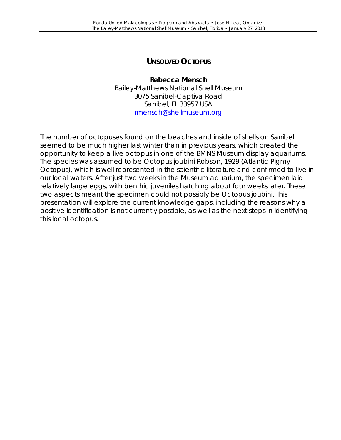# **UNSOLVED** *OCTOPUS*

**Rebecca Mensch** Bailey-Matthews National Shell Museum 3075 Sanibel-Captiva Road Sanibel, FL 33957 USA [rmensch@shellmuseum.org](mailto:rmensch@shellmuseum.org)

The number of octopuses found on the beaches and inside of shells on Sanibel seemed to be much higher last winter than in previous years, which created the opportunity to keep a live octopus in one of the BMNS Museum display aquariums. The species was assumed to be *Octopus joubini* Robson, 1929 (Atlantic Pigmy Octopus), which is well represented in the scientific literature and confirmed to live in our local waters. After just two weeks in the Museum aquarium, the specimen laid relatively large eggs, with benthic juveniles hatching about four weeks later. These two aspects meant the specimen could not possibly be *Octopus joubini*. This presentation will explore the current knowledge gaps, including the reasons why a positive identification is not currently possible, as well as the next steps in identifying this local octopus.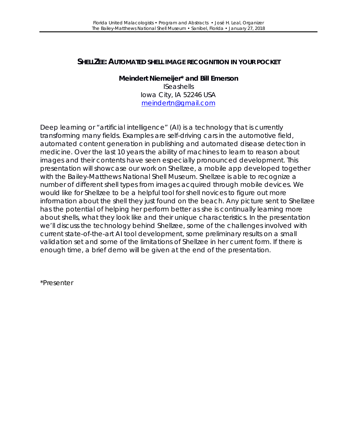# **SHELLZEE: AUTOMATED SHELL IMAGE RECOGNITION IN YOUR POCKET**

**Meindert Niemeijer\* and Bill Emerson ISeashells** Iowa City, IA 52246 USA [meindertn@gmail.com](mailto:meindertn@gmail.com)

Deep learning or "artificial intelligence" (AI) is a technology that is currently transforming many fields. Examples are self-driving cars in the automotive field, automated content generation in publishing and automated disease detection in medicine. Over the last 10 years the ability of machines to learn to reason about images and their contents have seen especially pronounced development. This presentation will showcase our work on Shellzee, a mobile app developed together with the Bailey-Matthews National Shell Museum. Shellzee is able to recognize a number of different shell types from images acquired through mobile devices. We would like for Shellzee to be a helpful tool for shell novices to figure out more information about the shell they just found on the beach. Any picture sent to Shellzee has the potential of helping her perform better as she is continually learning more about shells, what they look like and their unique characteristics. In the presentation we'll discuss the technology behind Shellzee, some of the challenges involved with current state-of-the-art AI tool development, some preliminary results on a small validation set and some of the limitations of Shellzee in her current form. If there is enough time, a brief demo will be given at the end of the presentation.

\*Presenter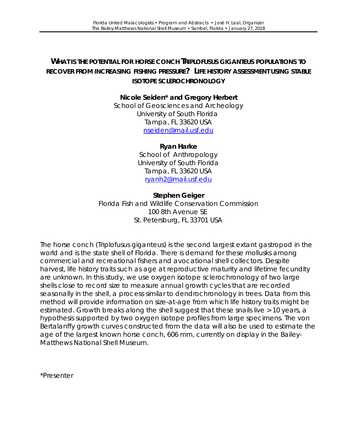# **WHAT IS THE POTENTIAL FOR HORSE CONCH** *TRIPLOFUSUS GIGANTEUS* **POPULATIONS TO RECOVER FROM INCREASING FISHING PRESSURE? LIFE HISTORY ASSESSMENT USING STABLE ISOTOPE SCLEROCHRONOLOGY**

# **Nicole Seiden\* and Gregory Herbert**

School of Geosciences and Archeology University of South Florida Tampa, FL 33620 USA [nseiden@mail.usf.edu](mailto:nseiden@mail.usf.edu)

#### **Ryan Harke**

School of Anthropology University of South Florida Tampa, FL 33620 USA [ryanh2@mail.usf.edu](mailto:ryanh2@mail.usf.edu)

#### **Stephen Geiger**

Florida Fish and Wildlife Conservation Commission 100 8th Avenue SE St. Petersburg, FL 33701 USA

The horse conch (*Triplofusus giganteus*) is the second largest extant gastropod in the world and is the state shell of Florida. There is demand for these mollusks among commercial and recreational fishers and avocational shell collectors. Despite harvest, life history traits such as age at reproductive maturity and lifetime fecundity are unknown. In this study, we use oxygen isotope sclerochronology of two large shells close to record size to measure annual growth cycles that are recorded seasonally in the shell, a process similar to dendrochronology in trees. Data from this method will provide information on size-at-age from which life history traits might be estimated. Growth breaks along the shell suggest that these snails live > 10 years, a hypothesis supported by two oxygen isotope profiles from large specimens. The von Bertalanffy growth curves constructed from the data will also be used to estimate the age of the largest known horse conch, 606 mm, currently on display in the Bailey-Matthews National Shell Museum.

\*Presenter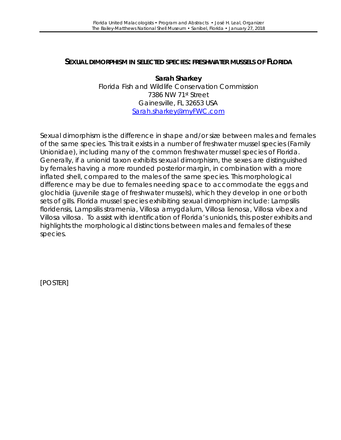#### **SEXUAL DIMORPHISM IN SELECTED SPECIES: FRESHWATER MUSSELS OF FLORIDA**

**Sarah Sharkey** Florida Fish and Wildlife Conservation Commission 7386 NW 71st Street Gainesville, FL 32653 USA [Sarah.sharkey@myFWC.com](mailto:Sarah.sharkey@myFWC.com)

Sexual dimorphism is the difference in shape and/or size between males and females of the same species. This trait exists in a number of freshwater mussel species (Family Unionidae), including many of the common freshwater mussel species of Florida*.*  Generally, if a unionid taxon exhibits sexual dimorphism, the sexes are distinguished by females having a more rounded posterior margin, in combination with a more inflated shell, compared to the males of the same species. This morphological difference may be due to females needing space to accommodate the eggs and glochidia (juvenile stage of freshwater mussels), which they develop in one or both sets of gills. Florida mussel species exhibiting sexual dimorphism include: *Lampsilis*  floridensis, Lampsilis stramenia, Villosa amygdalum, Villosa lienosa, Villosa vibex and *Villosa villosa.* To assist with identification of Florida's unionids, this poster exhibits and highlights the morphological distinctions between males and females of these species.

[POSTER]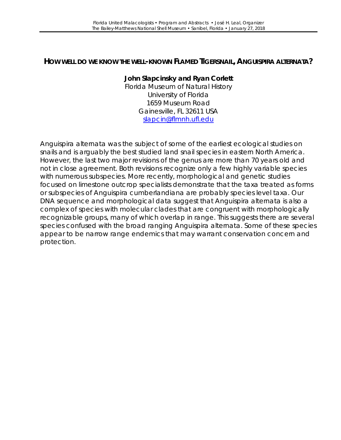#### **HOW WELL DO WE KNOW THE WELL-KNOWN FLAMED TIGERSNAIL,** *ANGUISPIRA ALTERNATA***?**

#### **John Slapcinsky and Ryan Corlett**

Florida Museum of Natural History University of Florida 1659 Museum Road Gainesville, FL 32611 USA [slapcin@flmnh.ufl.edu](mailto:slapcin@flmnh.ufl.edu)

*Anguispira alternata* was the subject of some of the earliest ecological studies on snails and is arguably the best studied land snail species in eastern North America. However, the last two major revisions of the genus are more than 70 years old and not in close agreement. Both revisions recognize only a few highly variable species with numerous subspecies. More recently, morphological and genetic studies focused on limestone outcrop specialists demonstrate that the taxa treated as forms or subspecies of *Anguispira cumberlandiana* are probably species level taxa. Our DNA sequence and morphological data suggest that *Anguispira alternata* is also a complex of species with molecular clades that are congruent with morphologically recognizable groups, many of which overlap in range. This suggests there are several species confused with the broad ranging *Anguispira alternata*. Some of these species appear to be narrow range endemics that may warrant conservation concern and protection.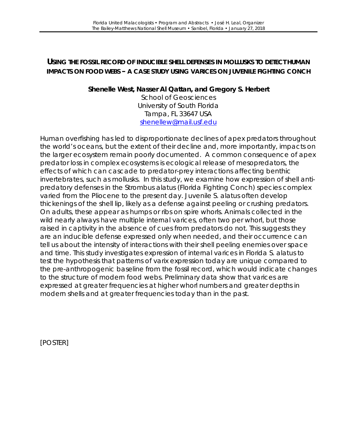# **USING THE FOSSIL RECORD OF INDUCIBLE SHELL DEFENSES IN MOLLUSKS TO DETECT HUMAN IMPACTS ON FOOD WEBS – A CASE STUDY USING VARICES ON JUVENILE FIGHTING CONCH**

#### **Shenelle West, Nasser Al Qattan, and Gregory S. Herbert**

School of Geosciences University of South Florida Tampa, FL 33647 USA [shenellew@mail.usf.edu](mailto:shenellew@mail.usf.edu)

Human overfishing has led to disproportionate declines of apex predators throughout the world's oceans, but the extent of their decline and, more importantly, impacts on the larger ecosystem remain poorly documented. A common consequence of apex predator loss in complex ecosystems is ecological release of mesopredators, the effects of which can cascade to predator-prey interactions affecting benthic invertebrates, such as mollusks. In this study, we examine how expression of shell antipredatory defenses in the *Strombus alatus* (Florida Fighting Conch) species complex varied from the Pliocene to the present day. Juvenile *S. alatus* often develop thickenings of the shell lip, likely as a defense against peeling or crushing predators. On adults, these appear as humps or ribs on spire whorls. Animals collected in the wild nearly always have multiple internal varices, often two per whorl, but those raised in captivity in the absence of cues from predators do not. This suggests they are an inducible defense expressed only when needed, and their occurrence can tell us about the intensity of interactions with their shell peeling enemies over space and time. This study investigates expression of internal varices in Florida *S. alatus* to test the hypothesis that patterns of varix expression today are unique compared to the pre-anthropogenic baseline from the fossil record, which would indicate changes to the structure of modern food webs. Preliminary data show that varices are expressed at greater frequencies at higher whorl numbers and greater depths in modern shells and at greater frequencies today than in the past.

[POSTER]